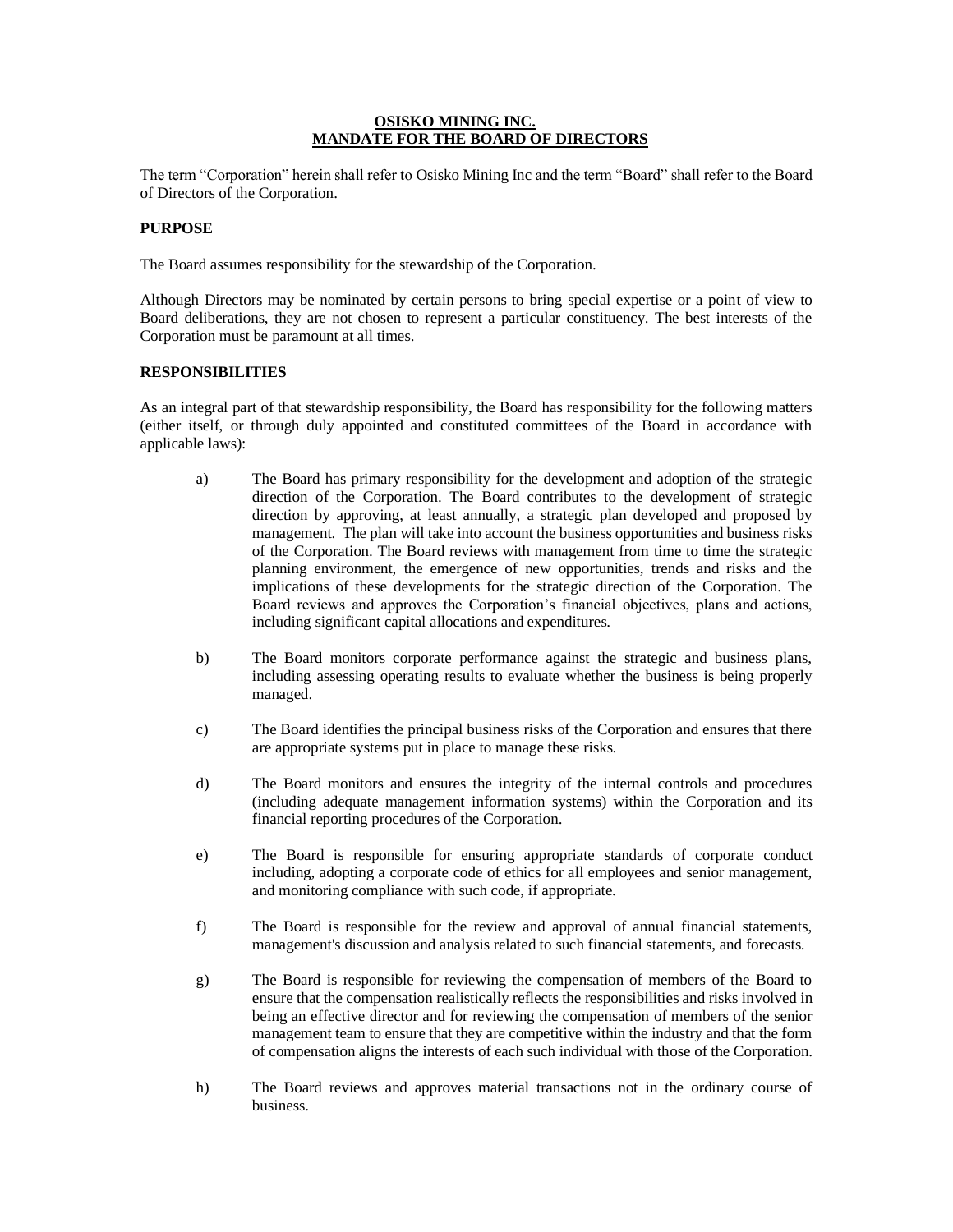## **OSISKO MINING INC. MANDATE FOR THE BOARD OF DIRECTORS**

The term "Corporation" herein shall refer to Osisko Mining Inc and the term "Board" shall refer to the Board of Directors of the Corporation.

## **PURPOSE**

The Board assumes responsibility for the stewardship of the Corporation.

Although Directors may be nominated by certain persons to bring special expertise or a point of view to Board deliberations, they are not chosen to represent a particular constituency. The best interests of the Corporation must be paramount at all times.

### **RESPONSIBILITIES**

As an integral part of that stewardship responsibility, the Board has responsibility for the following matters (either itself, or through duly appointed and constituted committees of the Board in accordance with applicable laws):

- a) The Board has primary responsibility for the development and adoption of the strategic direction of the Corporation. The Board contributes to the development of strategic direction by approving, at least annually, a strategic plan developed and proposed by management. The plan will take into account the business opportunities and business risks of the Corporation. The Board reviews with management from time to time the strategic planning environment, the emergence of new opportunities, trends and risks and the implications of these developments for the strategic direction of the Corporation. The Board reviews and approves the Corporation's financial objectives, plans and actions, including significant capital allocations and expenditures.
- b) The Board monitors corporate performance against the strategic and business plans, including assessing operating results to evaluate whether the business is being properly managed.
- c) The Board identifies the principal business risks of the Corporation and ensures that there are appropriate systems put in place to manage these risks.
- d) The Board monitors and ensures the integrity of the internal controls and procedures (including adequate management information systems) within the Corporation and its financial reporting procedures of the Corporation.
- e) The Board is responsible for ensuring appropriate standards of corporate conduct including, adopting a corporate code of ethics for all employees and senior management, and monitoring compliance with such code, if appropriate.
- f) The Board is responsible for the review and approval of annual financial statements, management's discussion and analysis related to such financial statements, and forecasts.
- g) The Board is responsible for reviewing the compensation of members of the Board to ensure that the compensation realistically reflects the responsibilities and risks involved in being an effective director and for reviewing the compensation of members of the senior management team to ensure that they are competitive within the industry and that the form of compensation aligns the interests of each such individual with those of the Corporation.
- h) The Board reviews and approves material transactions not in the ordinary course of business.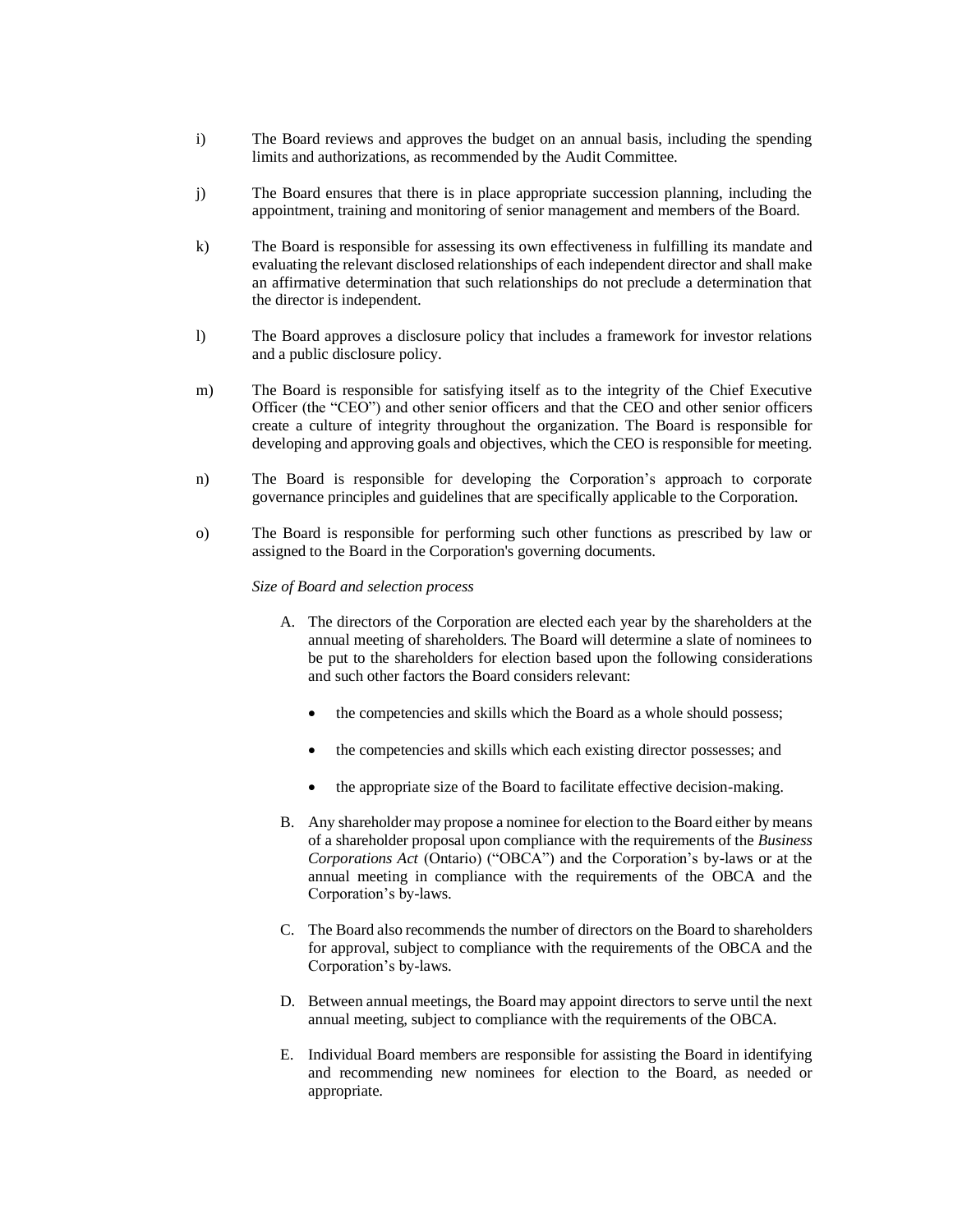- i) The Board reviews and approves the budget on an annual basis, including the spending limits and authorizations, as recommended by the Audit Committee.
- j) The Board ensures that there is in place appropriate succession planning, including the appointment, training and monitoring of senior management and members of the Board.
- k) The Board is responsible for assessing its own effectiveness in fulfilling its mandate and evaluating the relevant disclosed relationships of each independent director and shall make an affirmative determination that such relationships do not preclude a determination that the director is independent.
- l) The Board approves a disclosure policy that includes a framework for investor relations and a public disclosure policy.
- m) The Board is responsible for satisfying itself as to the integrity of the Chief Executive Officer (the "CEO") and other senior officers and that the CEO and other senior officers create a culture of integrity throughout the organization. The Board is responsible for developing and approving goals and objectives, which the CEO is responsible for meeting.
- n) The Board is responsible for developing the Corporation's approach to corporate governance principles and guidelines that are specifically applicable to the Corporation.
- o) The Board is responsible for performing such other functions as prescribed by law or assigned to the Board in the Corporation's governing documents.

### *Size of Board and selection process*

- A. The directors of the Corporation are elected each year by the shareholders at the annual meeting of shareholders. The Board will determine a slate of nominees to be put to the shareholders for election based upon the following considerations and such other factors the Board considers relevant:
	- the competencies and skills which the Board as a whole should possess;
	- the competencies and skills which each existing director possesses; and
	- the appropriate size of the Board to facilitate effective decision-making.
- B. Any shareholder may propose a nominee for election to the Board either by means of a shareholder proposal upon compliance with the requirements of the *Business Corporations Act* (Ontario) ("OBCA") and the Corporation's by-laws or at the annual meeting in compliance with the requirements of the OBCA and the Corporation's by-laws.
- C. The Board also recommends the number of directors on the Board to shareholders for approval, subject to compliance with the requirements of the OBCA and the Corporation's by-laws.
- D. Between annual meetings, the Board may appoint directors to serve until the next annual meeting, subject to compliance with the requirements of the OBCA.
- E. Individual Board members are responsible for assisting the Board in identifying and recommending new nominees for election to the Board, as needed or appropriate.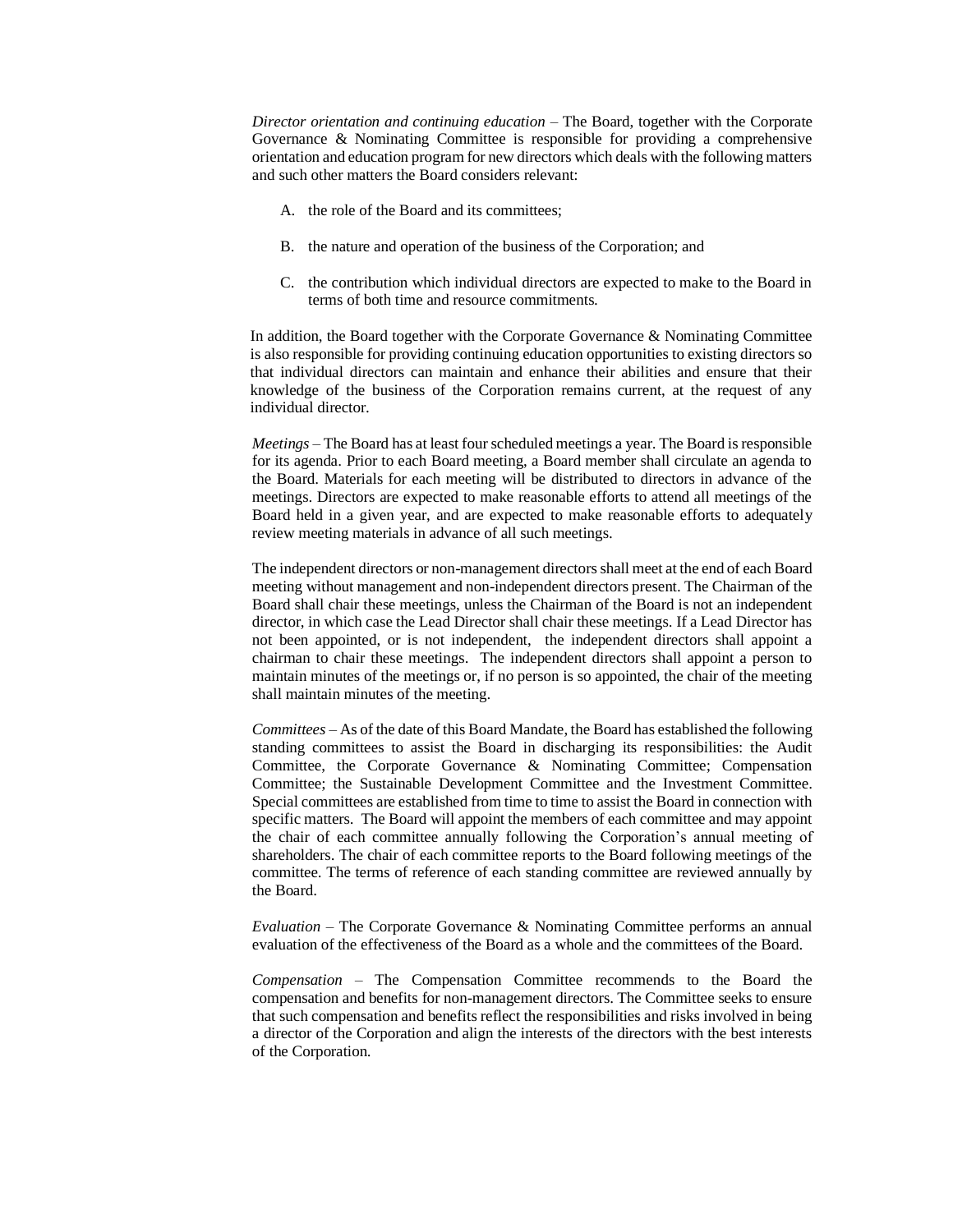*Director orientation and continuing education* – The Board, together with the Corporate Governance & Nominating Committee is responsible for providing a comprehensive orientation and education program for new directors which deals with the following matters and such other matters the Board considers relevant:

- A. the role of the Board and its committees;
- B. the nature and operation of the business of the Corporation; and
- C. the contribution which individual directors are expected to make to the Board in terms of both time and resource commitments.

In addition, the Board together with the Corporate Governance & Nominating Committee is also responsible for providing continuing education opportunities to existing directors so that individual directors can maintain and enhance their abilities and ensure that their knowledge of the business of the Corporation remains current, at the request of any individual director.

*Meetings* – The Board has at least four scheduled meetings a year. The Board is responsible for its agenda. Prior to each Board meeting, a Board member shall circulate an agenda to the Board. Materials for each meeting will be distributed to directors in advance of the meetings. Directors are expected to make reasonable efforts to attend all meetings of the Board held in a given year, and are expected to make reasonable efforts to adequately review meeting materials in advance of all such meetings.

The independent directors or non-management directors shall meet at the end of each Board meeting without management and non-independent directors present. The Chairman of the Board shall chair these meetings, unless the Chairman of the Board is not an independent director, in which case the Lead Director shall chair these meetings. If a Lead Director has not been appointed, or is not independent, the independent directors shall appoint a chairman to chair these meetings. The independent directors shall appoint a person to maintain minutes of the meetings or, if no person is so appointed, the chair of the meeting shall maintain minutes of the meeting.

*Committees* – As of the date of this Board Mandate, the Board has established the following standing committees to assist the Board in discharging its responsibilities: the Audit Committee, the Corporate Governance & Nominating Committee; Compensation Committee; the Sustainable Development Committee and the Investment Committee. Special committees are established from time to time to assist the Board in connection with specific matters. The Board will appoint the members of each committee and may appoint the chair of each committee annually following the Corporation's annual meeting of shareholders. The chair of each committee reports to the Board following meetings of the committee. The terms of reference of each standing committee are reviewed annually by the Board.

*Evaluation* – The Corporate Governance & Nominating Committee performs an annual evaluation of the effectiveness of the Board as a whole and the committees of the Board.

*Compensation* – The Compensation Committee recommends to the Board the compensation and benefits for non-management directors. The Committee seeks to ensure that such compensation and benefits reflect the responsibilities and risks involved in being a director of the Corporation and align the interests of the directors with the best interests of the Corporation.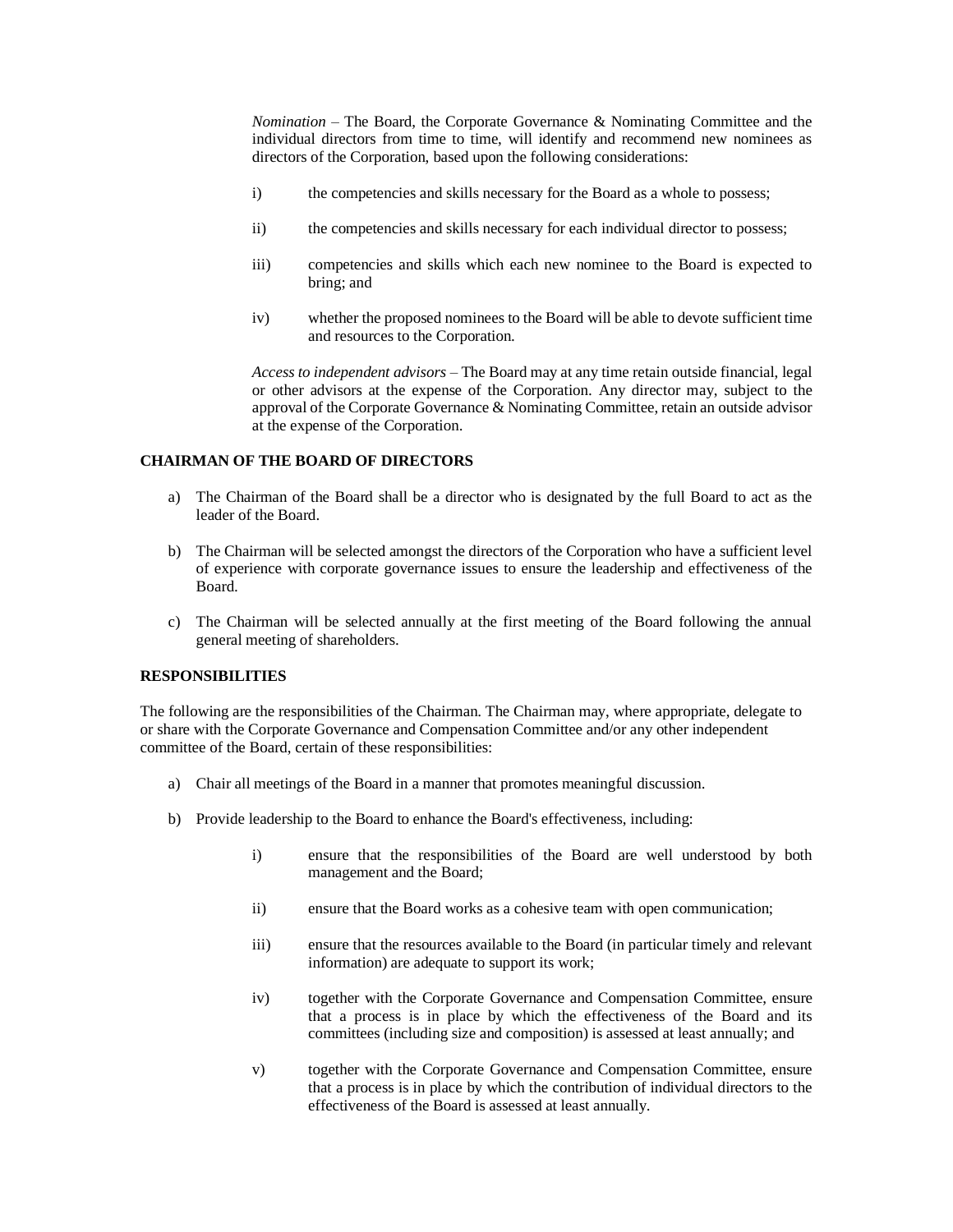*Nomination* – The Board, the Corporate Governance & Nominating Committee and the individual directors from time to time, will identify and recommend new nominees as directors of the Corporation, based upon the following considerations:

- i) the competencies and skills necessary for the Board as a whole to possess;
- ii) the competencies and skills necessary for each individual director to possess;
- iii) competencies and skills which each new nominee to the Board is expected to bring; and
- iv) whether the proposed nominees to the Board will be able to devote sufficient time and resources to the Corporation.

*Access to independent advisors* – The Board may at any time retain outside financial, legal or other advisors at the expense of the Corporation. Any director may, subject to the approval of the Corporate Governance & Nominating Committee, retain an outside advisor at the expense of the Corporation.

# **CHAIRMAN OF THE BOARD OF DIRECTORS**

- a) The Chairman of the Board shall be a director who is designated by the full Board to act as the leader of the Board.
- b) The Chairman will be selected amongst the directors of the Corporation who have a sufficient level of experience with corporate governance issues to ensure the leadership and effectiveness of the Board.
- c) The Chairman will be selected annually at the first meeting of the Board following the annual general meeting of shareholders.

# **RESPONSIBILITIES**

The following are the responsibilities of the Chairman. The Chairman may, where appropriate, delegate to or share with the Corporate Governance and Compensation Committee and/or any other independent committee of the Board, certain of these responsibilities:

- a) Chair all meetings of the Board in a manner that promotes meaningful discussion.
- b) Provide leadership to the Board to enhance the Board's effectiveness, including:
	- i) ensure that the responsibilities of the Board are well understood by both management and the Board;
	- ii) ensure that the Board works as a cohesive team with open communication;
	- iii) ensure that the resources available to the Board (in particular timely and relevant information) are adequate to support its work;
	- iv) together with the Corporate Governance and Compensation Committee, ensure that a process is in place by which the effectiveness of the Board and its committees (including size and composition) is assessed at least annually; and
	- v) together with the Corporate Governance and Compensation Committee, ensure that a process is in place by which the contribution of individual directors to the effectiveness of the Board is assessed at least annually.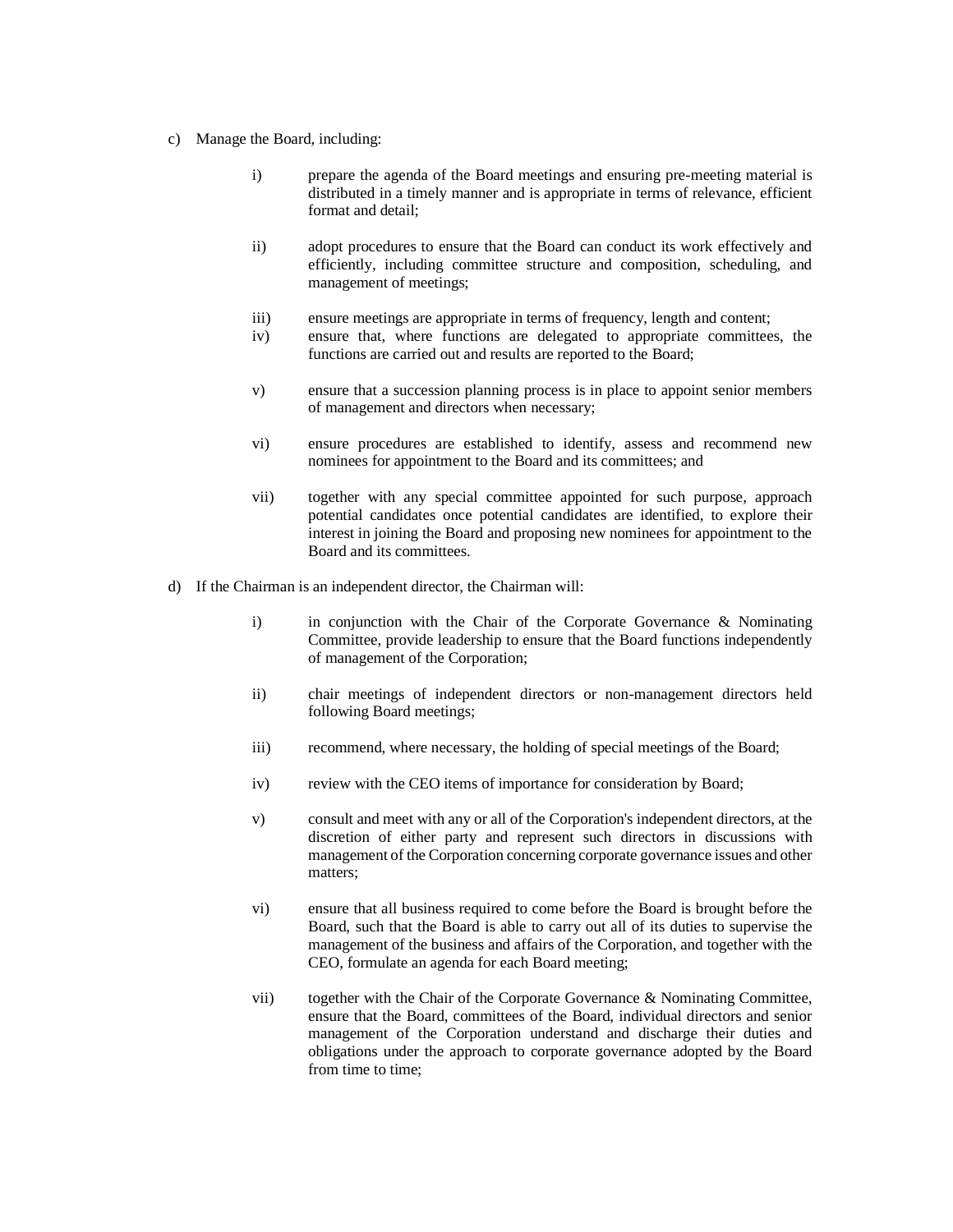- c) Manage the Board, including:
	- i) prepare the agenda of the Board meetings and ensuring pre-meeting material is distributed in a timely manner and is appropriate in terms of relevance, efficient format and detail;
	- ii) adopt procedures to ensure that the Board can conduct its work effectively and efficiently, including committee structure and composition, scheduling, and management of meetings;
	- iii) ensure meetings are appropriate in terms of frequency, length and content;
	- iv) ensure that, where functions are delegated to appropriate committees, the functions are carried out and results are reported to the Board;
	- v) ensure that a succession planning process is in place to appoint senior members of management and directors when necessary;
	- vi) ensure procedures are established to identify, assess and recommend new nominees for appointment to the Board and its committees; and
	- vii) together with any special committee appointed for such purpose, approach potential candidates once potential candidates are identified, to explore their interest in joining the Board and proposing new nominees for appointment to the Board and its committees.
- d) If the Chairman is an independent director, the Chairman will:
	- i) in conjunction with the Chair of the Corporate Governance & Nominating Committee, provide leadership to ensure that the Board functions independently of management of the Corporation;
	- ii) chair meetings of independent directors or non-management directors held following Board meetings;
	- iii) recommend, where necessary, the holding of special meetings of the Board;
	- iv) review with the CEO items of importance for consideration by Board;
	- v) consult and meet with any or all of the Corporation's independent directors, at the discretion of either party and represent such directors in discussions with management of the Corporation concerning corporate governance issues and other matters;
	- vi) ensure that all business required to come before the Board is brought before the Board, such that the Board is able to carry out all of its duties to supervise the management of the business and affairs of the Corporation, and together with the CEO, formulate an agenda for each Board meeting;
	- vii) together with the Chair of the Corporate Governance & Nominating Committee, ensure that the Board, committees of the Board, individual directors and senior management of the Corporation understand and discharge their duties and obligations under the approach to corporate governance adopted by the Board from time to time;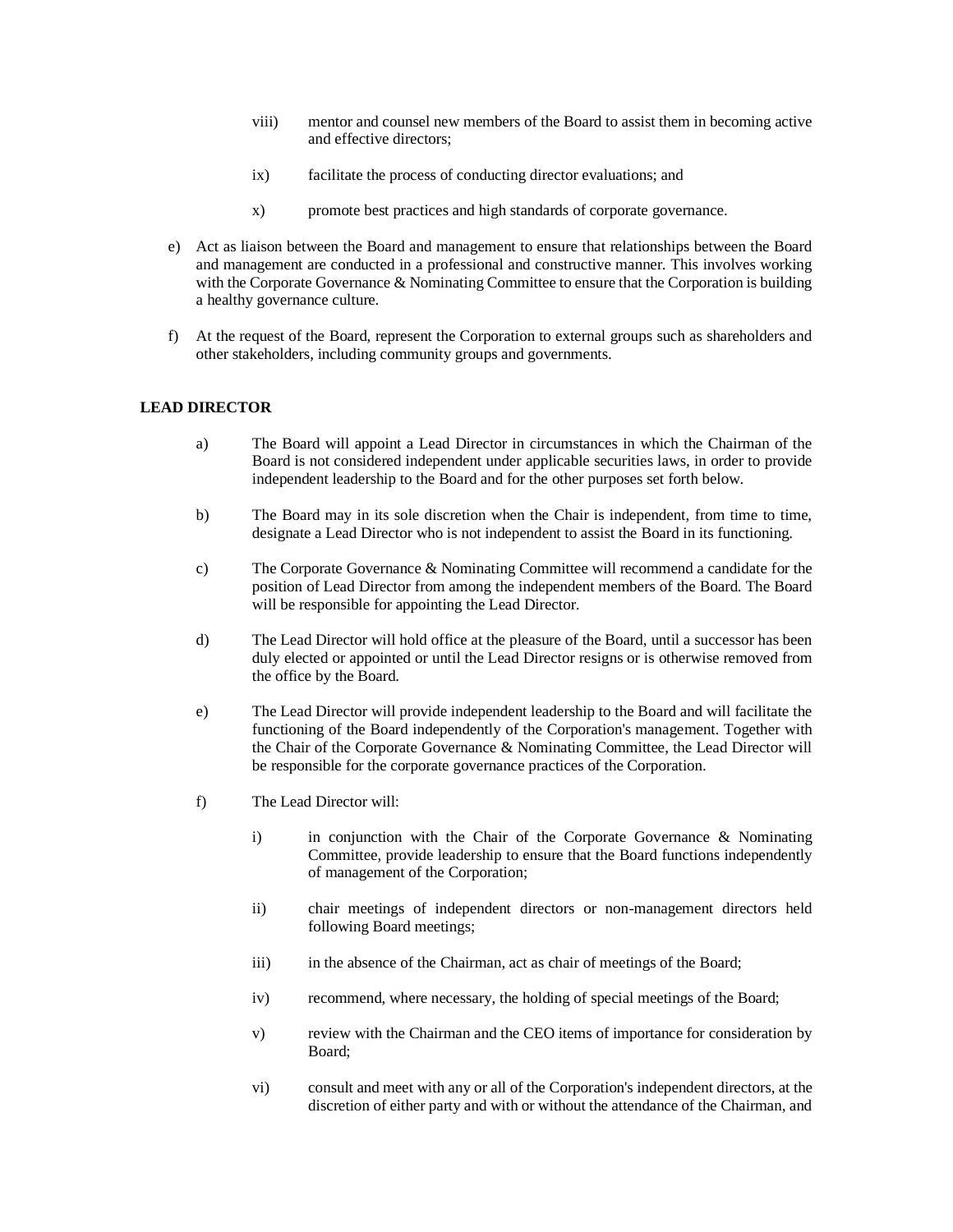- viii) mentor and counsel new members of the Board to assist them in becoming active and effective directors;
- ix) facilitate the process of conducting director evaluations; and
- x) promote best practices and high standards of corporate governance.
- e) Act as liaison between the Board and management to ensure that relationships between the Board and management are conducted in a professional and constructive manner. This involves working with the Corporate Governance & Nominating Committee to ensure that the Corporation is building a healthy governance culture.
- f) At the request of the Board, represent the Corporation to external groups such as shareholders and other stakeholders, including community groups and governments.

## **LEAD DIRECTOR**

- a) The Board will appoint a Lead Director in circumstances in which the Chairman of the Board is not considered independent under applicable securities laws, in order to provide independent leadership to the Board and for the other purposes set forth below.
- b) The Board may in its sole discretion when the Chair is independent, from time to time, designate a Lead Director who is not independent to assist the Board in its functioning.
- c) The Corporate Governance & Nominating Committee will recommend a candidate for the position of Lead Director from among the independent members of the Board. The Board will be responsible for appointing the Lead Director.
- d) The Lead Director will hold office at the pleasure of the Board, until a successor has been duly elected or appointed or until the Lead Director resigns or is otherwise removed from the office by the Board.
- e) The Lead Director will provide independent leadership to the Board and will facilitate the functioning of the Board independently of the Corporation's management. Together with the Chair of the Corporate Governance & Nominating Committee, the Lead Director will be responsible for the corporate governance practices of the Corporation.
- f) The Lead Director will:
	- i) in conjunction with the Chair of the Corporate Governance & Nominating Committee, provide leadership to ensure that the Board functions independently of management of the Corporation;
	- ii) chair meetings of independent directors or non-management directors held following Board meetings;
	- iii) in the absence of the Chairman, act as chair of meetings of the Board;
	- iv) recommend, where necessary, the holding of special meetings of the Board;
	- v) review with the Chairman and the CEO items of importance for consideration by Board;
	- vi) consult and meet with any or all of the Corporation's independent directors, at the discretion of either party and with or without the attendance of the Chairman, and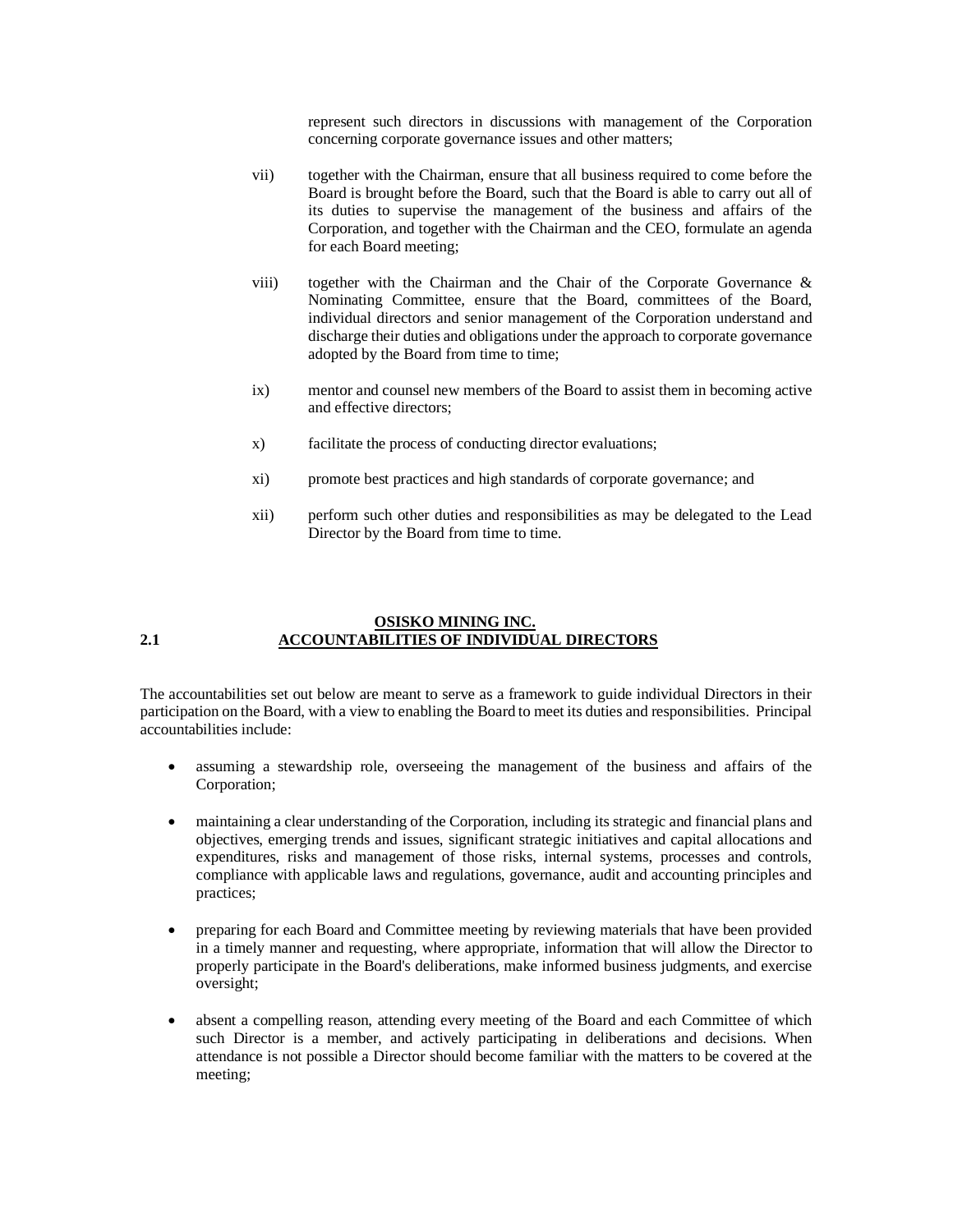represent such directors in discussions with management of the Corporation concerning corporate governance issues and other matters;

- vii) together with the Chairman, ensure that all business required to come before the Board is brought before the Board, such that the Board is able to carry out all of its duties to supervise the management of the business and affairs of the Corporation, and together with the Chairman and the CEO, formulate an agenda for each Board meeting;
- viii) together with the Chairman and the Chair of the Corporate Governance & Nominating Committee, ensure that the Board, committees of the Board, individual directors and senior management of the Corporation understand and discharge their duties and obligations under the approach to corporate governance adopted by the Board from time to time;
- ix) mentor and counsel new members of the Board to assist them in becoming active and effective directors;
- x) facilitate the process of conducting director evaluations;
- xi) promote best practices and high standards of corporate governance; and
- xii) perform such other duties and responsibilities as may be delegated to the Lead Director by the Board from time to time.

### **OSISKO MINING INC. 2.1 ACCOUNTABILITIES OF INDIVIDUAL DIRECTORS**

The accountabilities set out below are meant to serve as a framework to guide individual Directors in their participation on the Board, with a view to enabling the Board to meet its duties and responsibilities. Principal accountabilities include:

- assuming a stewardship role, overseeing the management of the business and affairs of the Corporation;
- maintaining a clear understanding of the Corporation, including its strategic and financial plans and objectives, emerging trends and issues, significant strategic initiatives and capital allocations and expenditures, risks and management of those risks, internal systems, processes and controls, compliance with applicable laws and regulations, governance, audit and accounting principles and practices;
- preparing for each Board and Committee meeting by reviewing materials that have been provided in a timely manner and requesting, where appropriate, information that will allow the Director to properly participate in the Board's deliberations, make informed business judgments, and exercise oversight;
- absent a compelling reason, attending every meeting of the Board and each Committee of which such Director is a member, and actively participating in deliberations and decisions. When attendance is not possible a Director should become familiar with the matters to be covered at the meeting;